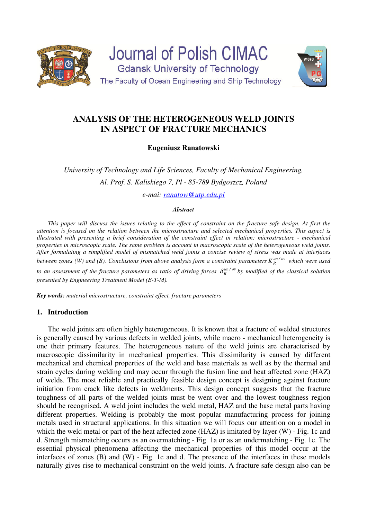



# **ANALYSIS OF THE HETEROGENEOUS WELD JOINTS IN ASPECT OF FRACTURE MECHANICS**

**Eugeniusz Ranatowski** 

*University of Technology and Life Sciences, Faculty of Mechanical Engineering, Al. Prof. S. Kaliskiego 7, Pl - 85-789 Bydgoszcz, Poland* 

*e-mai: ranatow@utp.edu.pl*

#### *Abstract*

*This paper will discuss the issues relating to the effect of constraint on the fracture safe design. At first the attention is focused on the relation between the microstructure and selected mechanical properties. This aspect is illustrated with presenting a brief consideration of the constraint effect in relation: microstructure - mechanical properties in microscopic scale. The same problem is account in macroscopic scale of the heterogeneous weld joints. After formulating a simplified model of mismatched weld joints a concise review of stress was made at interfaces between zones (W) and (B). Conclusions from above analysis form a constraint parameters*  $K_R^{un/ov}$  *which were used to an assessment of the fracture parameters as ratio of driving forces*  $\delta_R^{un/ov}$  *by modified of the classical solution presented by Engineering Treatment Model (E-T-M).* 

*Key words: material microstructure, constraint effect, fracture parameters* 

### **1. Introduction**

The weld joints are often highly heterogeneous. It is known that a fracture of welded structures is generally caused by various defects in welded joints, while macro - mechanical heterogeneity is one their primary features. The heterogeneous nature of the weld joints are characterised by macroscopic dissimilarity in mechanical properties. This dissimilarity is caused by different mechanical and chemical properties of the weld and base materials as well as by the thermal and strain cycles during welding and may occur through the fusion line and heat affected zone (HAZ) of welds. The most reliable and practically feasible design concept is designing against fracture initiation from crack like defects in weldments. This design concept suggests that the fracture toughness of all parts of the welded joints must be went over and the lowest toughness region should be recognised. A weld joint includes the weld metal, HAZ and the base metal parts having different properties. Welding is probably the most popular manufacturing process for joining metals used in structural applications. In this situation we will focus our attention on a model in which the weld metal or part of the heat affected zone (HAZ) is imitated by layer (W) - Fig. 1c and d. Strength mismatching occurs as an overmatching - Fig. 1a or as an undermatching - Fig. 1c. The essential physical phenomena affecting the mechanical properties of this model occur at the interfaces of zones (B) and (W) - Fig. 1c and d. The presence of the interfaces in these models naturally gives rise to mechanical constraint on the weld joints. A fracture safe design also can be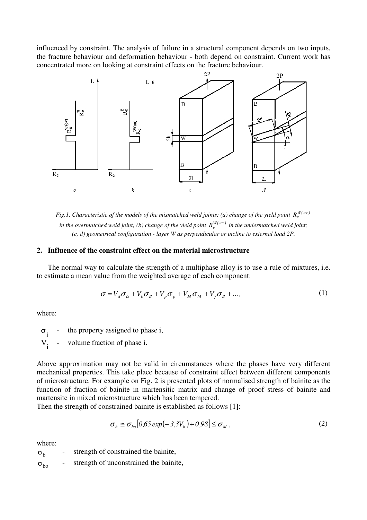influenced by constraint. The analysis of failure in a structural component depends on two inputs, the fracture behaviour and deformation behaviour - both depend on constraint. Current work has concentrated more on looking at constraint effects on the fracture behaviour.



*Fig.1. Characteristic of the models of the mismatched weld joints: (a) change of the yield point*  $R_e^{W(ov)}$ *in the overmatched weld joint; (b) change of the yield point*  $R_e^{W(un)}$  *in the undermatched weld joint; (c, d) geometrical configuration - layer W as perpendicular or incline to external load 2P.* 

## **2. Influence of the constraint effect on the material microstructure**

The normal way to calculate the strength of a multiphase alloy is to use a rule of mixtures, i.e. to estimate a mean value from the weighted average of each component:

$$
\sigma = V_a \sigma_a + V_b \sigma_B + V_p \sigma_p + V_M \sigma_M + V_p \sigma_B + \dots
$$
 (1)

where:

 $\sigma$ <sub>i</sub> the property assigned to phase i,

 $V_i$ volume fraction of phase i.

Above approximation may not be valid in circumstances where the phases have very different mechanical properties. This take place because of constraint effect between different components of microstructure. For example on Fig. 2 is presented plots of normalised strength of bainite as the function of fraction of bainite in martensitic matrix and change of proof stress of bainite and martensite in mixed microstructure which has been tempered.

Then the strength of constrained bainite is established as follows [1]:

$$
\sigma_b \cong \sigma_{bo} [0.65 \exp(-3.3V_b) + 0.98] \le \sigma_M , \qquad (2)
$$

where:

 $\sigma_{\rm h}$ strength of constrained the bainite.  $\sigma_{\rm bo}$  - strength of unconstrained the bainite,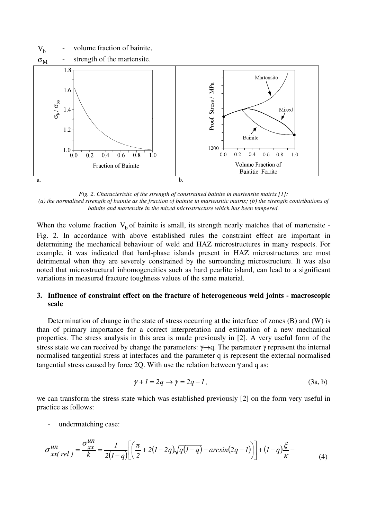

*Fig. 2. Characteristic of the strength of constrained bainite in martensite matrix [1]: (a) the normalised strength of bainite as the fraction of bainite in martensitic matrix; (b) the strength contributions of bainite and martensite in the mixed microstructure which has been tempered.* 

When the volume fraction  $V_b$  of bainite is small, its strength nearly matches that of martensite -Fig. 2. In accordance with above established rules the constraint effect are important in determining the mechanical behaviour of weld and HAZ microstructures in many respects. For example, it was indicated that hard-phase islands present in HAZ microstructures are most detrimental when they are severely constrained by the surrounding microstructure. It was also noted that microstructural inhomogeneities such as hard pearlite island, can lead to a significant variations in measured fracture toughness values of the same material.

## **3. Influence of constraint effect on the fracture of heterogeneous weld joints - macroscopic scale**

Determination of change in the state of stress occurring at the interface of zones (B) and (W) is than of primary importance for a correct interpretation and estimation of a new mechanical properties. The stress analysis in this area is made previously in [2]. A very useful form of the stress state we can received by change the parameters:  $\gamma \rightarrow q$ . The parameter  $\gamma$  represent the internal normalised tangential stress at interfaces and the parameter q is represent the external normalised tangential stress caused by force 2Q. With use the relation between  $\gamma$  and q as:

$$
\gamma + 1 = 2q \rightarrow \gamma = 2q - 1,\tag{3a, b}
$$

we can transform the stress state which was established previously [2] on the form very useful in practice as follows:

undermatching case:

$$
\sigma_{xx(\,rel)}^{un} = \frac{\sigma_{xx}^{un}}{k} = \frac{1}{2(l-q)} \bigg[ \bigg( \frac{\pi}{2} + 2(l-2q)\sqrt{q(l-q)} - \arcsin(2q-l) \bigg) \bigg] + (l-q)\frac{\xi}{\kappa} - \tag{4}
$$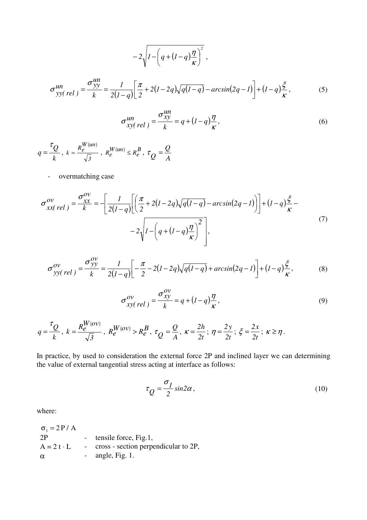$$
-2\sqrt{I - \left(q + (I - q)\frac{\eta}{\kappa}\right)^2},
$$
  

$$
\sigma_{yy(\,rel)}^{un} = \frac{\sigma_{yy}^{un}}{k} = \frac{I}{2(I - q)} \left[\frac{\pi}{2} + 2(I - 2q)\sqrt{q(I - q)} - \arcsin(2q - I)\right] + (I - q)\frac{\xi}{\kappa},
$$
 (5)

$$
\sigma_{xy(\text{rel})}^{un} = \frac{\sigma_{xy}^{un}}{k} = q + (I - q)\frac{\eta}{\kappa},\tag{6}
$$

*k*  $q = \frac{q}{q}$ τ  $=\frac{\varkappa}{4},$  $(\iota n)$ *3*  $k = \frac{R_e^{W(un)}}{F}$ ,  $R_e^{W(un)} \leq R_e^B$  $\frac{W(un)}{e} \leq R_e^{\frac{1}{2}}$  $R_e^{\mathbf{W}(\mathbf{u}n)} \leq R_e^{\mathbf{D}}$ , *A Q*  $\tau_Q$  =

- overmatching case

$$
\sigma_{xx(\text{rel})}^{ov} = \frac{\sigma_{xx}^{ov}}{k} = -\left[\frac{1}{2(I-q)}\left[\left(\frac{\pi}{2} + 2(I-2q)\sqrt{q(I-q)} - \arcsin(2q-1)\right)\right] + (I-q)\frac{\xi}{\kappa} - 2\sqrt{I - \left(q + (I-q)\frac{\eta}{\kappa}\right)^2}\right],\tag{7}
$$

$$
\sigma_{yy(\,rel)}^{ov} = \frac{\sigma_{yy}^{ov}}{k} = \frac{1}{2(l-q)} \left[ -\frac{\pi}{2} - 2(l-2q)\sqrt{q(l-q)} + \arcsin(2q-l) \right] + (l-q)\frac{\xi}{\kappa},\tag{8}
$$

$$
\sigma_{xy(\text{rel})}^{ov} = \frac{\sigma_{xy}^{ov}}{k} = q + (I - q)\frac{\eta}{\kappa},\tag{9}
$$

$$
q = \frac{\tau_Q}{k}, \ k = \frac{R_e^{W(ov)}}{\sqrt{3}}, \ R_e^{W(ov)} > R_e^B, \ \tau_Q = \frac{Q}{A}, \ \kappa = \frac{2h}{2t}; \ \eta = \frac{2y}{2t}; \ \xi = \frac{2x}{2t}; \ \kappa \ge \eta.
$$

In practice, by used to consideration the external force 2P and inclined layer we can determining the value of external tangential stress acting at interface as follows:

$$
\tau_Q = \frac{\sigma_I}{2} \sin 2\alpha \,,\tag{10}
$$

where:

| $\sigma_1 = 2P/A$ |            |                                      |
|-------------------|------------|--------------------------------------|
| 2P                |            | tensile force, Fig.1,                |
| $A = 2 t \cdot L$ | $\sim 100$ | cross - section perpendicular to 2P, |
| $\alpha$          |            | - angle, Fig. 1.                     |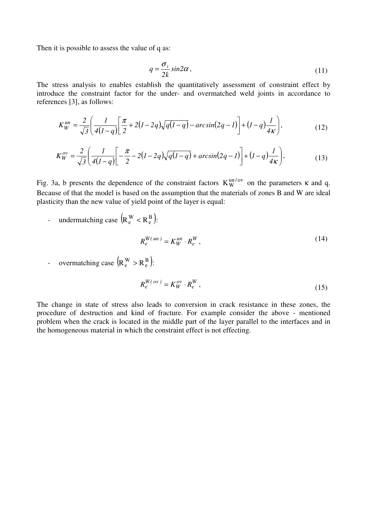Then it is possible to assess the value of q as:

$$
q = \frac{\sigma_{\scriptscriptstyle{I}}}{2k} \sin 2\alpha \,,\tag{11}
$$

The stress analysis to enables establish the quantitatively assessment of constraint effect by introduce the constraint factor for the under- and overmatched weld joints in accordance to references [3], as follows:

$$
K_W^{un} = \frac{2}{\sqrt{3}} \left( \frac{1}{4(l-q)} \left[ \frac{\pi}{2} + 2(l-2q)\sqrt{q(l-q)} - \arcsin(2q-l) \right] + (l-q)\frac{l}{4\kappa} \right),\tag{12}
$$

$$
K_W^{ov} = \frac{2}{\sqrt{3}} \left( \frac{l}{4(l-q)} \left[ -\frac{\pi}{2} - 2(l-2q)\sqrt{q(l-q)} + \arcsin(2q-l) \right] + (l-q)\frac{l}{4\kappa} \right),\tag{13}
$$

Fig. 3a, b presents the dependence of the constraint factors  $K_W^{un/ov}$  on the parameters  $\kappa$  and q. Because of that the model is based on the assumption that the materials of zones B and W are ideal plasticity than the new value of yield point of the layer is equal:

- undermatching case  $(R_e^{\text{W}} < R_e^{\text{B}})$ :  $R_e^{\text{W}} < R_e^{\text{B}}$ :

$$
R_e^{W(un)} = K_W^{un} \cdot R_e^W, \qquad (14)
$$

- overmatching case  $(R_e^{\text{W}} > R_e^{\text{B}})$ :  $R_e^{\text{W}} > R_e^{\text{B}}$ :

$$
R_e^{W(ov)} = K_W^{ov} \cdot R_e^W,
$$
\n(15)

The change in state of stress also leads to conversion in crack resistance in these zones, the procedure of destruction and kind of fracture. For example consider the above - mentioned problem when the crack is located in the middle part of the layer parallel to the interfaces and in the homogeneous material in which the constraint effect is not effecting.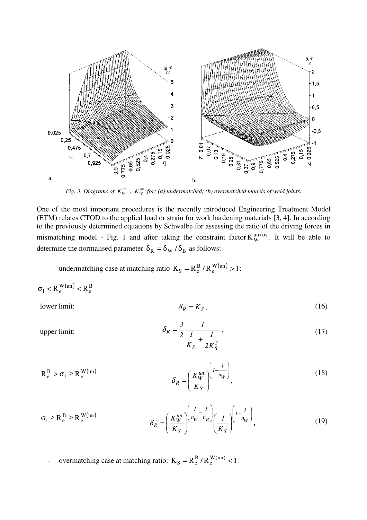

*Fig. 3. Diagrams of*  $K_W^{un}$ *,*  $K_W^{ov}$  *for: (a) undermatched; (b) overmatched models of weld joints.* 

One of the most important procedures is the recently introduced Engineering Treatment Model (ETM) relates CTOD to the applied load or strain for work hardening materials [3, 4]. In according to the previously determined equations by Schwalbe for assessing the ratio of the driving forces in mismatching model - Fig. 1 and after taking the constraint factor  $K_W^{un/ov}$ . It will be able to determine the normalised parameter  $\delta_R = \delta_W / \delta_B$  as follows:

- undermatching case at matching ratio  $K_S = R_e^B / R_e^{W(un)} > 1$ e  $_{\rm S} = \mathrm{R}_{\rm e}^{\rm B} / \mathrm{R}_{\rm e}^{\rm W(un)} > 1$ :

$$
\sigma_1 < R_e^{\,W(un)} < R_e^{\,B}
$$

 $I$  *R*  $I$ *S*  $I$ *R*  $I$ *I* $I$ *nit*:

upper limit:

$$
\delta_R = K_S, \tag{16}
$$

$$
\delta_R = \frac{3}{2} \frac{1}{\frac{1}{K_S} + \frac{1}{2K_S^3}},\tag{17}
$$

$$
R_e^B > \sigma_1 \ge R_e^{W(un)} \qquad \qquad \delta_R = \left(\frac{K_W^{un}}{K_S}\right)^{\left(1 - \frac{1}{n_W}\right)},\tag{18}
$$

$$
\sigma_1 \ge R_e^B \ge R_e^{W(un)} \qquad \qquad \delta_R = \left(\frac{K_W^{un}}{K_S}\right) \left(\frac{1}{n_W} - \frac{1}{n_B}\right) \left(\frac{1}{K_S}\right)^{\left(1 - \frac{1}{n_W}\right)},\tag{19}
$$

- overmatching case at matching ratio:  $K_S = R_e^B / R_e^{W(un)} < 1$ e  $_{\rm S} = \mathrm{R}_{\rm e}^{\rm B} / \mathrm{R}_{\rm e}^{\rm W(un)}$  < 1 :